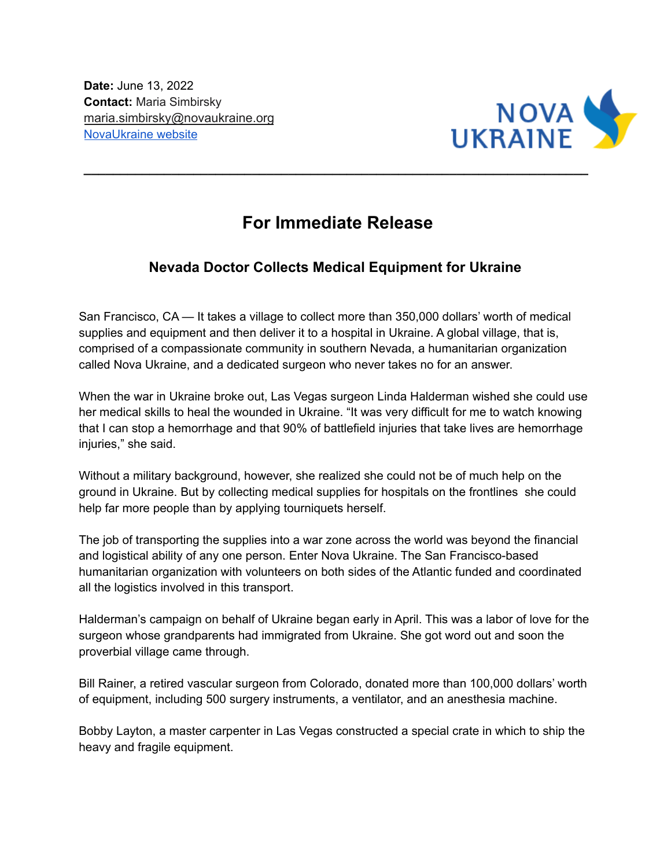

## **For Immediate Release**

**\_\_\_\_\_\_\_\_\_\_\_\_\_\_\_\_\_\_\_\_\_\_\_\_\_\_\_\_\_\_\_\_\_\_\_\_\_\_\_\_\_\_\_\_\_\_\_\_\_\_\_\_\_\_\_\_\_\_\_\_\_\_\_\_\_\_\_\_\_**

## **Nevada Doctor Collects Medical Equipment for Ukraine**

San Francisco, CA — It takes a village to collect more than 350,000 dollars' worth of medical supplies and equipment and then deliver it to a hospital in Ukraine. A global village, that is, comprised of a compassionate community in southern Nevada, a humanitarian organization called Nova Ukraine, and a dedicated surgeon who never takes no for an answer.

When the war in Ukraine broke out, Las Vegas surgeon Linda Halderman wished she could use her medical skills to heal the wounded in Ukraine. "It was very difficult for me to watch knowing that I can stop a hemorrhage and that 90% of battlefield injuries that take lives are hemorrhage injuries," she said.

Without a military background, however, she realized she could not be of much help on the ground in Ukraine. But by collecting medical supplies for hospitals on the frontlines she could help far more people than by applying tourniquets herself.

The job of transporting the supplies into a war zone across the world was beyond the financial and logistical ability of any one person. Enter Nova Ukraine. The San Francisco-based humanitarian organization with volunteers on both sides of the Atlantic funded and coordinated all the logistics involved in this transport.

Halderman's campaign on behalf of Ukraine began early in April. This was a labor of love for the surgeon whose grandparents had immigrated from Ukraine. She got word out and soon the proverbial village came through.

Bill Rainer, a retired vascular surgeon from Colorado, donated more than 100,000 dollars' worth of equipment, including 500 surgery instruments, a ventilator, and an anesthesia machine.

Bobby Layton, a master carpenter in Las Vegas constructed a special crate in which to ship the heavy and fragile equipment.